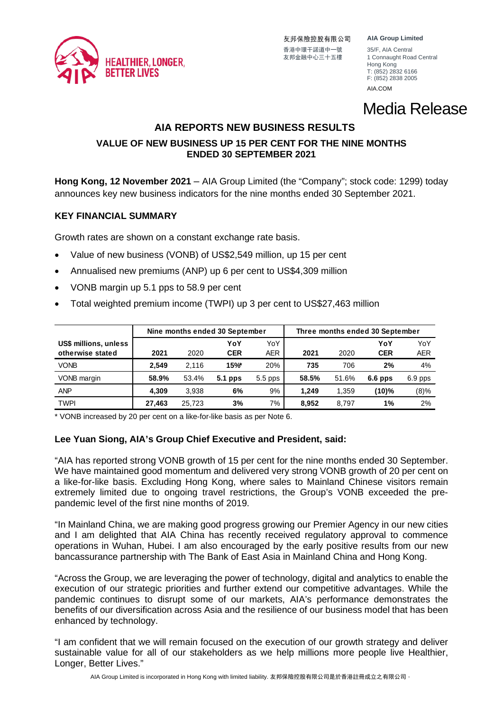

友邦保險控股有限公司 香港中環干諾道中一號 35/F, AIA Central<br>友邦金融中心三十五樓 1 Connaught Roa

**AIA Group Limited**

1 Connaught Road Central Hong Kong T: (852) 2832 6166 F: (852) 2838 2005

[AIA.COM](http://aia.com/)

# Media Release

# **AIA REPORTS NEW BUSINESS RESULTS**

# **VALUE OF NEW BUSINESS UP 15 PER CENT FOR THE NINE MONTHS ENDED 30 SEPTEMBER 2021**

**Hong Kong, 12 November 2021** – AIA Group Limited (the "Company"; stock code: 1299) today announces key new business indicators for the nine months ended 30 September 2021.

## **KEY FINANCIAL SUMMARY**

Growth rates are shown on a constant exchange rate basis.

- Value of new business (VONB) of US\$2,549 million, up 15 per cent
- Annualised new premiums (ANP) up 6 per cent to US\$4,309 million
- VONB margin up 5.1 pps to 58.9 per cent
- Total weighted premium income (TWPI) up 3 per cent to US\$27,463 million

|                                           | Nine months ended 30 September |        |                   | Three months ended 30 September |       |       |                   |                   |
|-------------------------------------------|--------------------------------|--------|-------------------|---------------------------------|-------|-------|-------------------|-------------------|
| US\$ millions, unless<br>otherwise stated | 2021                           | 2020   | YoY<br><b>CER</b> | YoY<br><b>AER</b>               | 2021  | 2020  | YoY<br><b>CER</b> | YoY<br><b>AER</b> |
| <b>VONB</b>                               | 2.549                          | 2.116  | 15%               | 20%                             | 735   | 706   | 2%                | 4%                |
| VONB margin                               | 58.9%                          | 53.4%  | 5.1 pps           | $5.5$ pps                       | 58.5% | 51.6% | $6.6$ pps         | 6.9 pps           |
| <b>ANP</b>                                | 4.309                          | 3.938  | 6%                | 9%                              | 1.249 | 1.359 | (10)%             | (8)%              |
| <b>TWPI</b>                               | 27.463                         | 25.723 | 3%                | 7%                              | 8.952 | 8.797 | 1%                | 2%                |

\* VONB increased by 20 per cent on a like-for-like basis as per Note 6.

# **Lee Yuan Siong, AIA's Group Chief Executive and President, said:**

"AIA has reported strong VONB growth of 15 per cent for the nine months ended 30 September. We have maintained good momentum and delivered very strong VONB growth of 20 per cent on a like-for-like basis. Excluding Hong Kong, where sales to Mainland Chinese visitors remain extremely limited due to ongoing travel restrictions, the Group's VONB exceeded the prepandemic level of the first nine months of 2019.

"In Mainland China, we are making good progress growing our Premier Agency in our new cities and I am delighted that AIA China has recently received regulatory approval to commence operations in Wuhan, Hubei. I am also encouraged by the early positive results from our new bancassurance partnership with The Bank of East Asia in Mainland China and Hong Kong.

"Across the Group, we are leveraging the power of technology, digital and analytics to enable the execution of our strategic priorities and further extend our competitive advantages. While the pandemic continues to disrupt some of our markets, AIA's performance demonstrates the benefits of our diversification across Asia and the resilience of our business model that has been enhanced by technology.

"I am confident that we will remain focused on the execution of our growth strategy and deliver sustainable value for all of our stakeholders as we help millions more people live Healthier, Longer, Better Lives."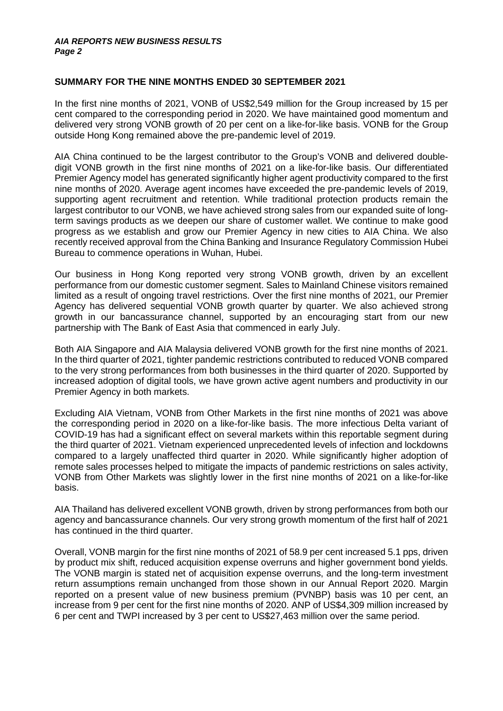### **SUMMARY FOR THE NINE MONTHS ENDED 30 SEPTEMBER 2021**

In the first nine months of 2021, VONB of US\$2,549 million for the Group increased by 15 per cent compared to the corresponding period in 2020. We have maintained good momentum and delivered very strong VONB growth of 20 per cent on a like-for-like basis. VONB for the Group outside Hong Kong remained above the pre-pandemic level of 2019.

AIA China continued to be the largest contributor to the Group's VONB and delivered doubledigit VONB growth in the first nine months of 2021 on a like-for-like basis. Our differentiated Premier Agency model has generated significantly higher agent productivity compared to the first nine months of 2020. Average agent incomes have exceeded the pre-pandemic levels of 2019, supporting agent recruitment and retention. While traditional protection products remain the largest contributor to our VONB, we have achieved strong sales from our expanded suite of longterm savings products as we deepen our share of customer wallet. We continue to make good progress as we establish and grow our Premier Agency in new cities to AIA China. We also recently received approval from the China Banking and Insurance Regulatory Commission Hubei Bureau to commence operations in Wuhan, Hubei.

Our business in Hong Kong reported very strong VONB growth, driven by an excellent performance from our domestic customer segment. Sales to Mainland Chinese visitors remained limited as a result of ongoing travel restrictions. Over the first nine months of 2021, our Premier Agency has delivered sequential VONB growth quarter by quarter. We also achieved strong growth in our bancassurance channel, supported by an encouraging start from our new partnership with The Bank of East Asia that commenced in early July.

Both AIA Singapore and AIA Malaysia delivered VONB growth for the first nine months of 2021. In the third quarter of 2021, tighter pandemic restrictions contributed to reduced VONB compared to the very strong performances from both businesses in the third quarter of 2020. Supported by increased adoption of digital tools, we have grown active agent numbers and productivity in our Premier Agency in both markets.

Excluding AIA Vietnam, VONB from Other Markets in the first nine months of 2021 was above the corresponding period in 2020 on a like-for-like basis. The more infectious Delta variant of COVID-19 has had a significant effect on several markets within this reportable segment during the third quarter of 2021. Vietnam experienced unprecedented levels of infection and lockdowns compared to a largely unaffected third quarter in 2020. While significantly higher adoption of remote sales processes helped to mitigate the impacts of pandemic restrictions on sales activity, VONB from Other Markets was slightly lower in the first nine months of 2021 on a like-for-like basis.

AIA Thailand has delivered excellent VONB growth, driven by strong performances from both our agency and bancassurance channels. Our very strong growth momentum of the first half of 2021 has continued in the third quarter.

Overall, VONB margin for the first nine months of 2021 of 58.9 per cent increased 5.1 pps, driven by product mix shift, reduced acquisition expense overruns and higher government bond yields. The VONB margin is stated net of acquisition expense overruns, and the long-term investment return assumptions remain unchanged from those shown in our Annual Report 2020. Margin reported on a present value of new business premium (PVNBP) basis was 10 per cent, an increase from 9 per cent for the first nine months of 2020. ANP of US\$4,309 million increased by 6 per cent and TWPI increased by 3 per cent to US\$27,463 million over the same period.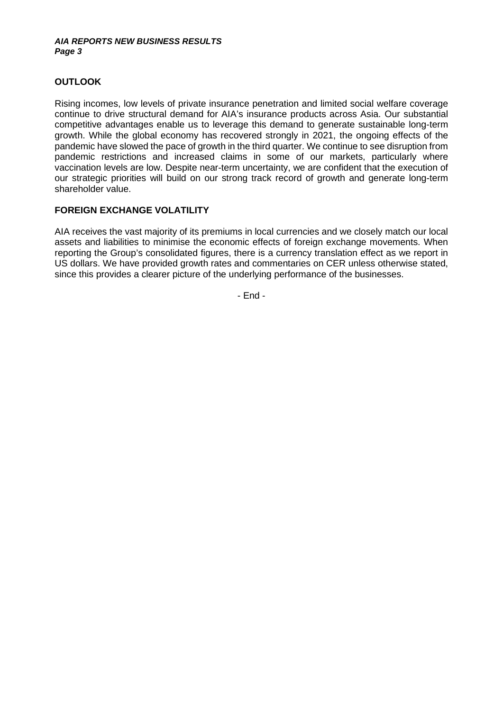#### *AIA REPORTS NEW BUSINESS RESULTS Page 3*

# **OUTLOOK**

Rising incomes, low levels of private insurance penetration and limited social welfare coverage continue to drive structural demand for AIA's insurance products across Asia. Our substantial competitive advantages enable us to leverage this demand to generate sustainable long-term growth. While the global economy has recovered strongly in 2021, the ongoing effects of the pandemic have slowed the pace of growth in the third quarter. We continue to see disruption from pandemic restrictions and increased claims in some of our markets, particularly where vaccination levels are low. Despite near-term uncertainty, we are confident that the execution of our strategic priorities will build on our strong track record of growth and generate long-term shareholder value.

## **FOREIGN EXCHANGE VOLATILITY**

AIA receives the vast majority of its premiums in local currencies and we closely match our local assets and liabilities to minimise the economic effects of foreign exchange movements. When reporting the Group's consolidated figures, there is a currency translation effect as we report in US dollars. We have provided growth rates and commentaries on CER unless otherwise stated, since this provides a clearer picture of the underlying performance of the businesses.

- End -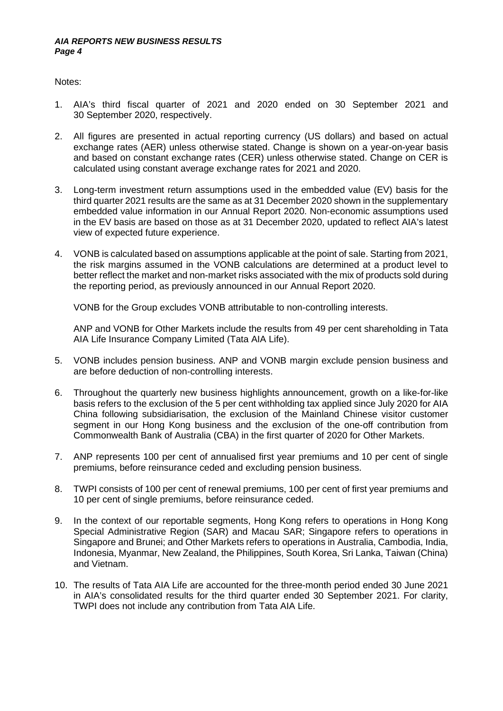Notes:

- 1. AIA's third fiscal quarter of 2021 and 2020 ended on 30 September 2021 and 30 September 2020, respectively.
- 2. All figures are presented in actual reporting currency (US dollars) and based on actual exchange rates (AER) unless otherwise stated. Change is shown on a year-on-year basis and based on constant exchange rates (CER) unless otherwise stated. Change on CER is calculated using constant average exchange rates for 2021 and 2020.
- 3. Long-term investment return assumptions used in the embedded value (EV) basis for the third quarter 2021 results are the same as at 31 December 2020 shown in the supplementary embedded value information in our Annual Report 2020. Non-economic assumptions used in the EV basis are based on those as at 31 December 2020, updated to reflect AIA's latest view of expected future experience.
- 4. VONB is calculated based on assumptions applicable at the point of sale. Starting from 2021, the risk margins assumed in the VONB calculations are determined at a product level to better reflect the market and non-market risks associated with the mix of products sold during the reporting period, as previously announced in our Annual Report 2020.

VONB for the Group excludes VONB attributable to non-controlling interests.

ANP and VONB for Other Markets include the results from 49 per cent shareholding in Tata AIA Life Insurance Company Limited (Tata AIA Life).

- 5. VONB includes pension business. ANP and VONB margin exclude pension business and are before deduction of non-controlling interests.
- 6. Throughout the quarterly new business highlights announcement, growth on a like-for-like basis refers to the exclusion of the 5 per cent withholding tax applied since July 2020 for AIA China following subsidiarisation, the exclusion of the Mainland Chinese visitor customer segment in our Hong Kong business and the exclusion of the one-off contribution from Commonwealth Bank of Australia (CBA) in the first quarter of 2020 for Other Markets.
- 7. ANP represents 100 per cent of annualised first year premiums and 10 per cent of single premiums, before reinsurance ceded and excluding pension business.
- 8. TWPI consists of 100 per cent of renewal premiums, 100 per cent of first year premiums and 10 per cent of single premiums, before reinsurance ceded.
- 9. In the context of our reportable segments, Hong Kong refers to operations in Hong Kong Special Administrative Region (SAR) and Macau SAR; Singapore refers to operations in Singapore and Brunei; and Other Markets refers to operations in Australia, Cambodia, India, Indonesia, Myanmar, New Zealand, the Philippines, South Korea, Sri Lanka, Taiwan (China) and Vietnam.
- 10. The results of Tata AIA Life are accounted for the three-month period ended 30 June 2021 in AIA's consolidated results for the third quarter ended 30 September 2021. For clarity, TWPI does not include any contribution from Tata AIA Life.